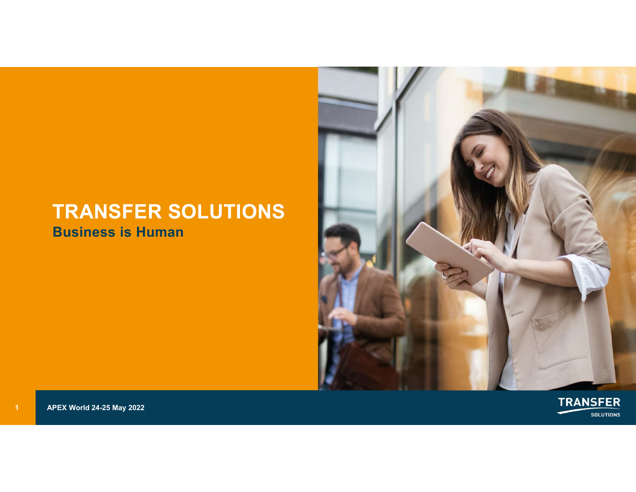### TRANSFER SOLUTIONS Business is Human TRANSFER SOLUTIONS<br>
Business is Human<br>
1<br>
APEX World 24-25 May 2022



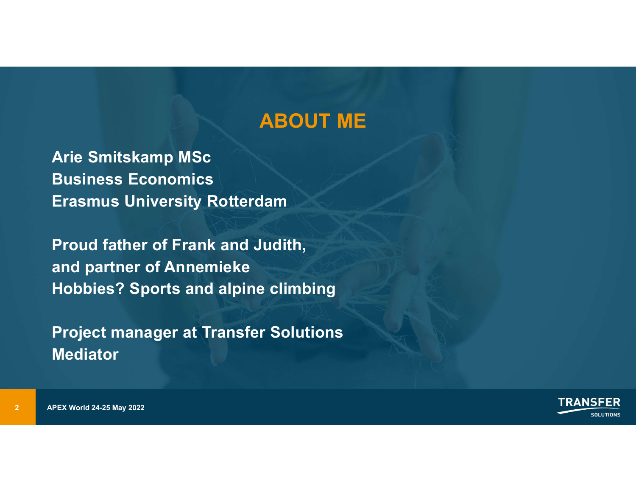# ABOUT ME

Arie Smitskamp MSc Business Economics Erasmus University Rotterdam

**ABOUT ME**<br>
Arie Smitskamp MSc<br>
Business Economics<br>
Erasmus University Rotterdam<br>
Proud father of Frank and Judith,<br>
and partner of Annemieke<br>
Hobbies? Sports and alpine climbing **ABOUT ME**<br>
Anie Smitskamp MSc<br>
Business Economics<br>
Erasmus University Rotterdam<br>
Proud father of Frank and Judith,<br>
and partner of Annemieke<br>
Hobbies? Sports and alpine climbing ABOUT ME<br>
Arie Smitskamp MSc<br>
Business Economics<br>
Erasmus University Rotterdam<br>
Proud father of Frank and Judith,<br>
and partner of Annemieke<br>
Hobbies? Sports and alpine climbing<br>
Project manager at Transfer Solutions

Project manager at Transfer Solutions Mediator



2 APEX World 24-25 May 2022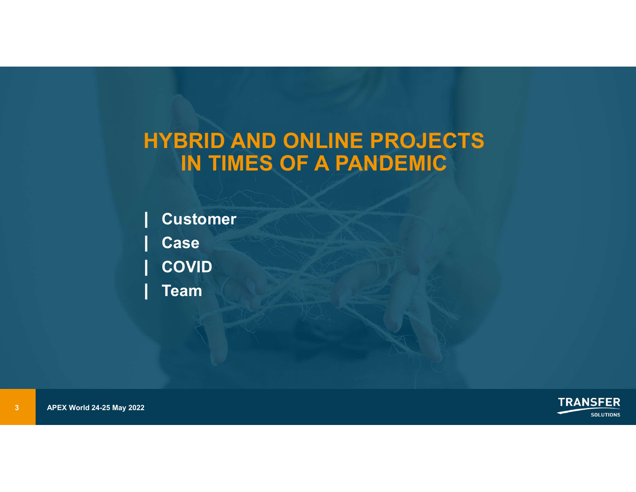### HYBRID AND ONLINE PROJECTS IN TIMES OF A PANDEMIC

| Customer<br>| Case<br>| COVID<br>| Team<br>| Team<br>| APEX World 24-25 May 2022 | Customer | Case | COVID | Team

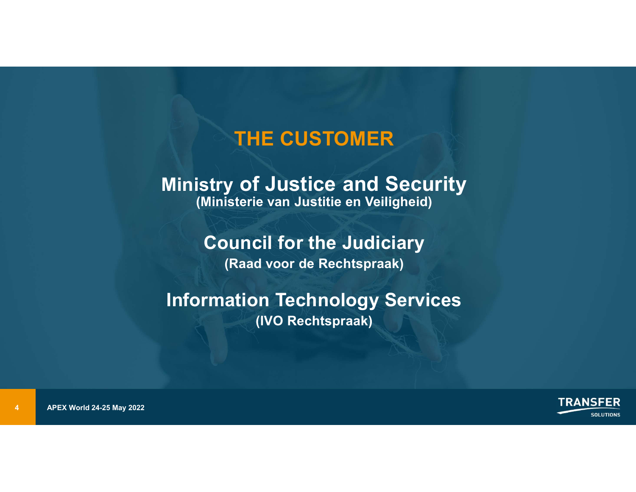### THE CUSTOMER

### THE CUSTOMER<br>Ministry of Justice and Security<br>(Ministerie van Justitie en Veiligheid) (Ministerie van Justitie en Veiligheid) THE CUSTOMER<br>
Stry of Justice and Security<br>
Ministerie van Justitie en Veiligheid)<br>
Council for the Judiciary<br>
(Raad voor de Rechtspraak)<br>
"
"

### (Raad voor de Rechtspraak)

### Information Technology Services (IVO Rechtspraak)

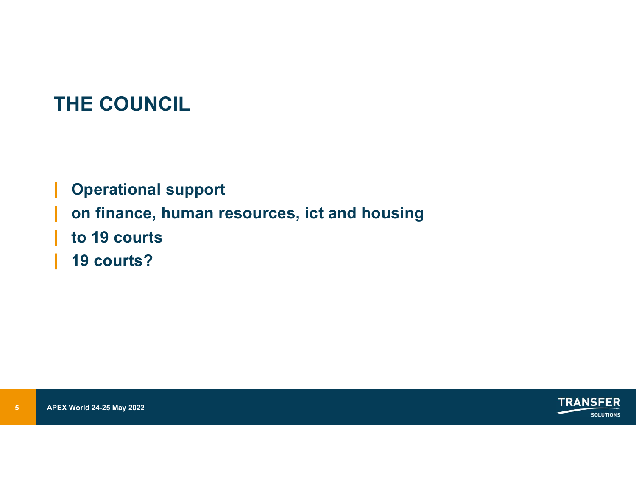### THE COUNCIL

on finance, human resources, i<br>
| to 19 courts<br>
| 19 courts?<br>
|<br>  $APEX World 24-25 May 2022$ THE COUNCIL<br>| Operational support<br>| on finance, human resources, ict and housing<br>| to 19 courts |<br>| Operational support<br>| on finance, human resources, ict and housing<br>| to 19 courts<br>| 19 courts? THE COUNCIL<br>| Operational support<br>| on finance, human resources, ict and<br>| to 19 courts<br>| 19 courts? 19 courts?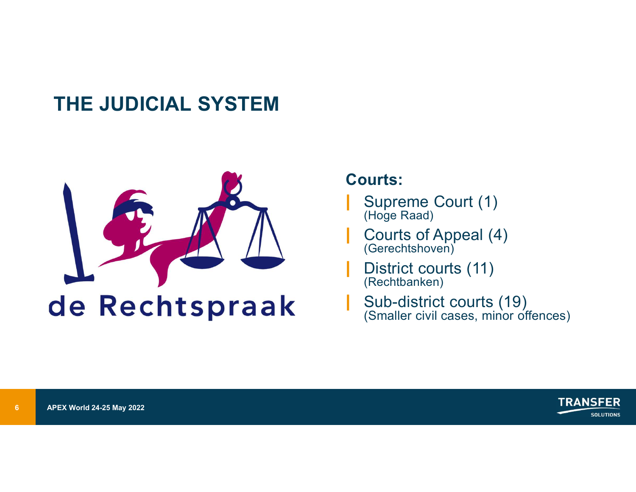### THE JUDICIAL SYSTEM



### Courts:

- Supreme Court (1)<br>(Hoge Raad)
- Courts:<br>| Supreme Court (1)<br><sup>| (Hoge Raad)</sup><br>| Courts of Appeal (4)<br><sup>| (Gerechtshoven)</sub></sup> | Courts of Appeal (4) (Gerechtshoven)
- | District courts (11) (Rechtbanken)
- Sub-district courts (19)<br>(Smaller civil cases, minor offences) ourts:<br>
Supreme Court (1)<br>
(<sup>Hoge Raad)</sup><br>
Courts of Appeal (4)<br>
(Gerechtshoven)<br>
District courts (11)<br>
(Rechtbanken)<br>
Sub-district courts (19)<br>
(Smaller civil cases, minor offences)

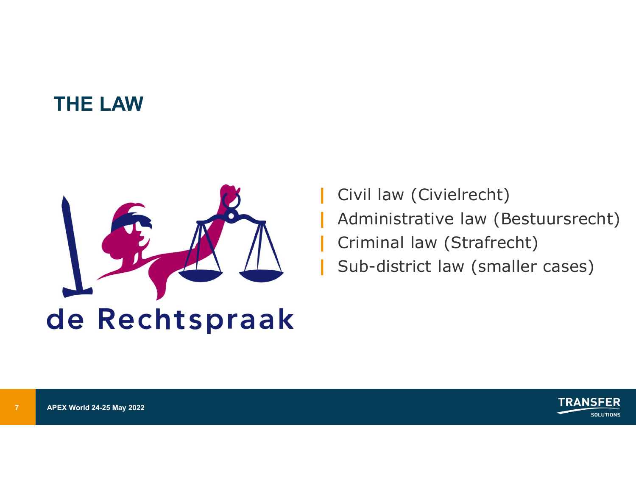### THE LAW



Civil law (Civielrecht) | Civil law (Civielrecht)<br>| Administrative law (Bestuursrecht)<br>| Criminal law (Strafrecht)<br>| Sub-district law (smaller cases) | Criminal law (Strafrecht) | Sub-district law (smaller cases)

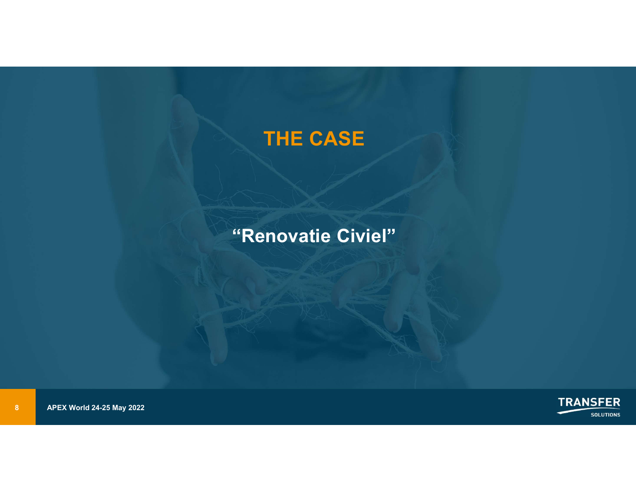### THE CASE

### "Renovatie Civiel"



8 APEX World 24-25 May 2022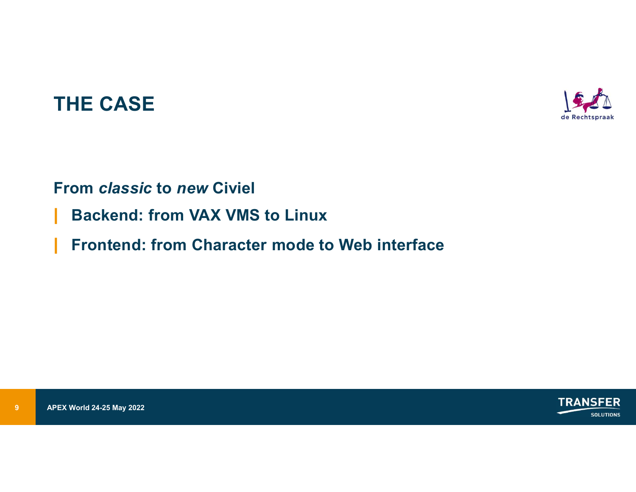### THE CASE



### From classic to new Civiel

- 
- **9 Backend: from VAX VMS to Lin<br>Prontend: from Character mode**<br>PAPEX World 24-25 May 2022 THE CASE<br>| From *classic* to *new* Civiel<br>| Backend: from VAX VMS to Linux<br>| Frontend: from Character mode to Web interface | Form CASE<br>| From *classic* to *new Civiel*<br>| Backend: from VAX VMS to Linux<br>| Frontend: from Character mode to Web interface

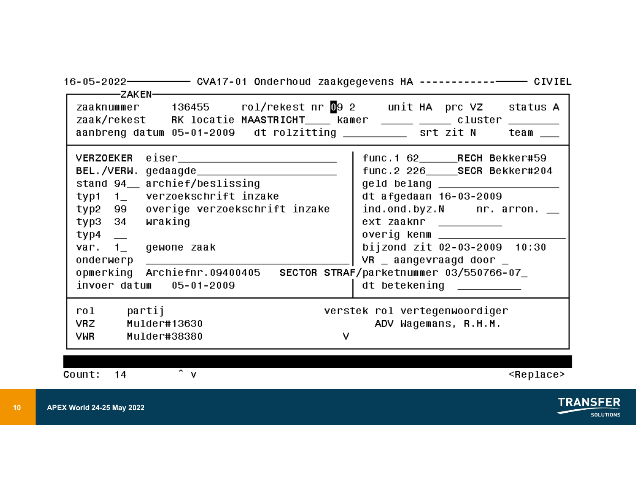| zaaknummer 136455 rol/rekestnr092 unit HA prc VZ status A<br>zaak/rekest RK locatie MAASTRICHT____ kamer _____ ____ cluster ______<br>aanbreng datum 05-01-2009 dt rolzitting __________ srt zit N                                                                                                                                                                    | team __                                                                                                                                                                                                                                                                                    |
|-----------------------------------------------------------------------------------------------------------------------------------------------------------------------------------------------------------------------------------------------------------------------------------------------------------------------------------------------------------------------|--------------------------------------------------------------------------------------------------------------------------------------------------------------------------------------------------------------------------------------------------------------------------------------------|
| BEL./VERW.gedaagde_________________________<br>stand 94__ archief/beslissing<br>typi i_ verzoekschrift inzake<br>typ2 99 overige verzoekschrift inzake<br>typ3 34<br>wraking<br>$typ4$ $-$<br>var. $1$ gewone zaak<br>onderwerp ___________________________________<br>opmerking Archiefnr.09400405 SECTOR STRAF/parketnummer 03/550766-07<br>invoer datum 05-01-2009 | func.2 226_____SECR Bekker#204<br>geld belang ____________________<br>dt afgedaan 16-03-2009<br>$ind.$ ond.byz.N $n$ . arron. $\_\_$<br>ext zaaknr _________<br>overig kenm ________________<br>bijzond zit 02-03-2009 10:30<br>$VR$ _ aangevraagd door _<br>$dt$ betekening $\frac{1}{2}$ |
| partij<br>$r$ ol<br>Mulder#13630<br><b>VRZ</b><br>v.<br><b>VWR</b><br>Mulder#38380<br>$\overline{\mathbf{v}}$<br>14<br>Count:                                                                                                                                                                                                                                         | verstek rol vertegenwoordiger<br>ADV Wagemans, R.H.M.<br><replace></replace>                                                                                                                                                                                                               |

**SOLUTIONS** 

-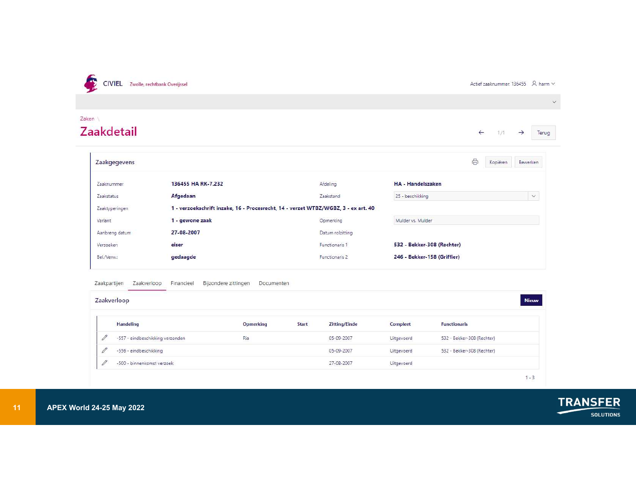

Actief zaaknummer: 136455  $\beta$  harm  $\vee$ 

### $\checkmark$ Zaken **Zaakdetail**  $\leftarrow$ Terug  $1/1$ → Zaakgegevens  $\oplus$ Bewerken Kopiëren 136455 HA RK-7.232 HA - Handelszaken Zaaknummer Afdeling Zaakstand 25 - beschikking  $\checkmark$ Mulder vs. Mulder Opmerking Datum rolzitting 532 - Bekker-308 (Rechter) Functionaris 1 Functionaris 2 246 - Bekker-158 (Griffier)

| 27-08-2007<br>Aanbreng datum                                                    | Datum rolzitting                     |            |                             |
|---------------------------------------------------------------------------------|--------------------------------------|------------|-----------------------------|
|                                                                                 |                                      |            |                             |
| eiser<br>Verzoeker:                                                             | Functionaris 1                       |            | 532 - Bekker-308 (Rechter)  |
| gedaagde<br>Bel./Verw.:                                                         | Functionaris 2                       |            | 246 - Bekker-158 (Griffier) |
| Bijzondere zittingen<br>Zaakpartijen<br>Zaakverloop<br>Financieel<br>Documenten |                                      |            |                             |
| Zaakverloop                                                                     |                                      |            |                             |
| <b>Handeling</b><br><b>Opmerking</b>                                            | <b>Zitting/Einde</b><br><b>Start</b> | Compleet   | <b>Functionaris</b>         |
| 0<br>-557 - eindbeschikking verzonden<br>Ria                                    | 05-09-2007                           | Uitgevoerd | 532 - Bekker-308 (Rechter)  |
| $\mathscr{O}$<br>-556 - eindbeschikking                                         | 05-09-2007                           | Uitgevoerd | 532 - Bekker-308 (Rechter)  |
| $\mathscr{O}$<br>-500 - binnenkomst verzoek                                     | 27-08-2007                           | Uitgevoerd |                             |
|                                                                                 |                                      |            |                             |

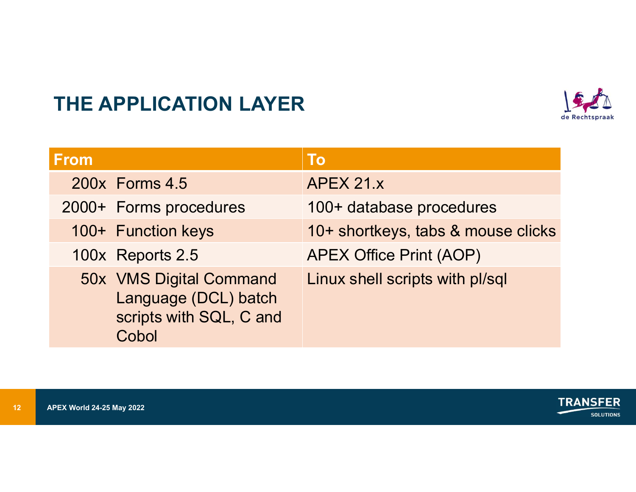

|             | THE APPLICATION LAYER                                                      |                                    |  |
|-------------|----------------------------------------------------------------------------|------------------------------------|--|
| <b>From</b> |                                                                            | <b>To</b>                          |  |
|             | 200x Forms 4.5                                                             | APEX 21.x                          |  |
|             | 2000+ Forms procedures                                                     | 100+ database procedures           |  |
|             | 100+ Function keys                                                         | 10+ shortkeys, tabs & mouse clicks |  |
|             | 100x Reports 2.5                                                           | <b>APEX Office Print (AOP)</b>     |  |
|             | 50x VMS Digital Command<br>Language (DCL) batch<br>scripts with SQL, C and | Linux shell scripts with pl/sql    |  |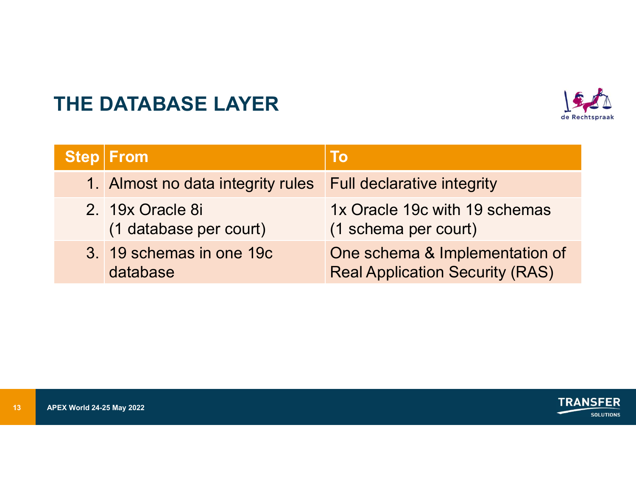### THE DATABASE LAYER



|             | THE DATABASE LAYER                         |                                                                          |  |
|-------------|--------------------------------------------|--------------------------------------------------------------------------|--|
| <b>Step</b> | From                                       | <b>To</b>                                                                |  |
|             | 1. Almost no data integrity rules          | <b>Full declarative integrity</b>                                        |  |
|             |                                            |                                                                          |  |
|             | 2. 19x Oracle 8i<br>(1 database per court) | 1x Oracle 19c with 19 schemas<br>(1 schema per court)                    |  |
|             | 3. 19 schemas in one 19c<br>database       | One schema & Implementation of<br><b>Real Application Security (RAS)</b> |  |

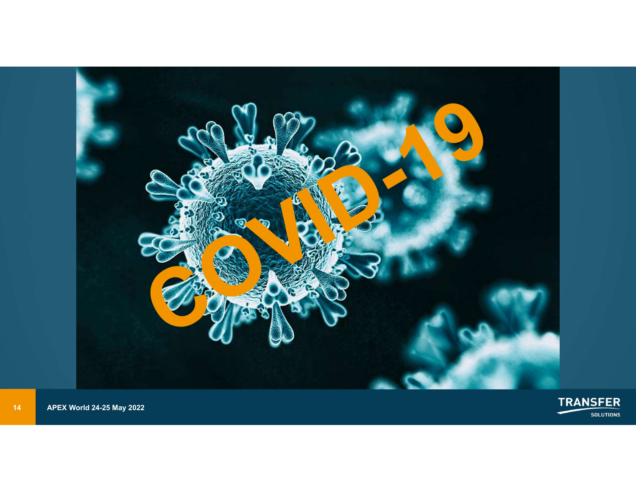

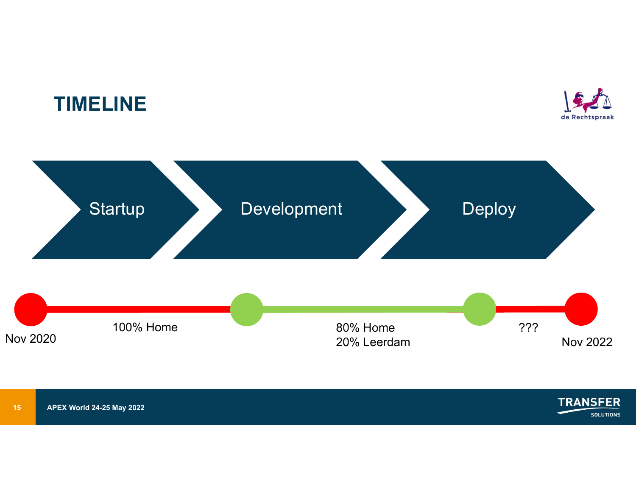### TIMELINE





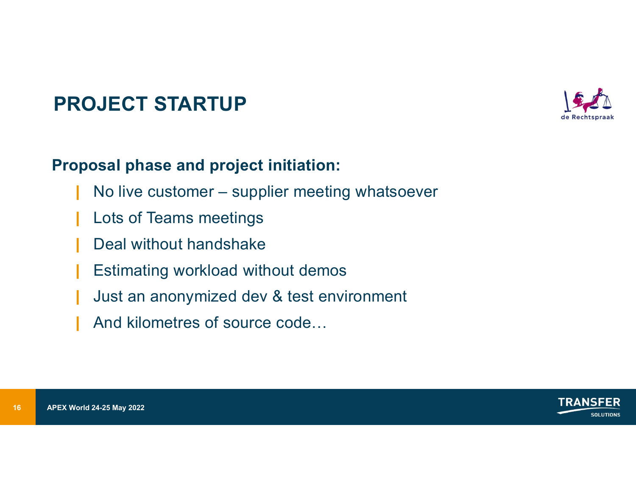### PROJECT STARTUP



- |<br>| **No live customer supplier meeting whatsoever<br>| No live customer supplier meeting whatsoever<br>| Lots of Teams meetings<br>| Deal without bandsbake**
- Lots of Teams meetings
- Deal without handshake
- Estimating workload without demos
- Just an anonymized dev & test environment
- And kilometres of source code...



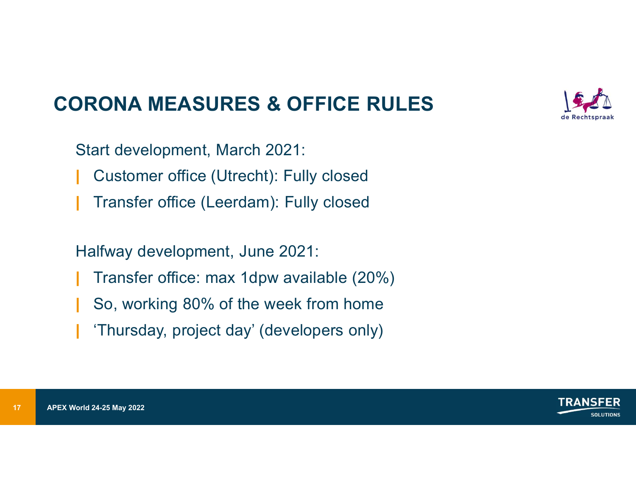### CORONA MEASURES & OFFICE RULES

Start development, March 2021:

- | Customer office (Utrecht): Fully closed
- | Transfer office (Leerdam): Fully closed

Halfway development, June 2021:

- | Transfer office: max 1dpw available (20%)
- | So, working 80% of the week from home
- Transfer office (Leerdam): Full<br>
Halfway development, June 2021<br>
Transfer office: max 1dpw ava<br>
So, working 80% of the week f<br>
Thursday, project day' (development)<br>
APEX World 24-25 May 2022 | 'Thursday, project day' (developers only)



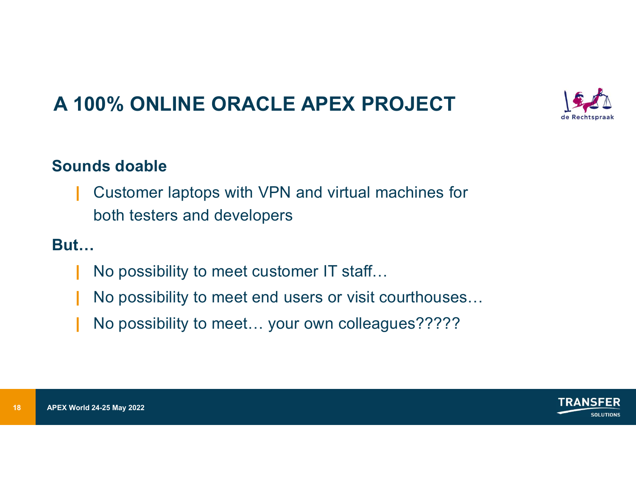### A 100% ONLINE ORACLE APEX PROJECT



| Customer laptops with VPN and virtual machines for both testers and developers

### But…

- | No possibility to meet customer IT staff…
- | No possibility to meet end users or visit courthouses…
- No possibility to meet... your own colleagues?????



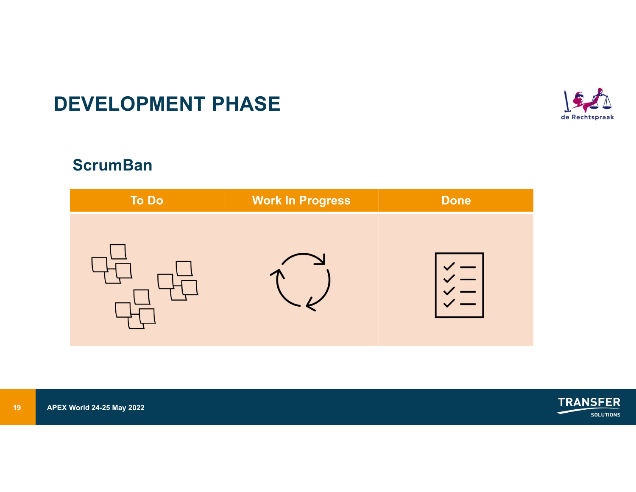### DEVELOPMENT PHASE



### **ScrumBan**

|                 | <b>DEVELOPMENT PHASE</b>         |                         |             |                                     |
|-----------------|----------------------------------|-------------------------|-------------|-------------------------------------|
|                 | <b>ScrumBan</b>                  |                         |             |                                     |
|                 | To Do                            | <b>Work In Progress</b> | <b>Done</b> |                                     |
|                 |                                  |                         |             |                                     |
|                 |                                  |                         |             |                                     |
| 19 <sup>°</sup> | <b>APEX World 24-25 May 2022</b> |                         |             | <b>TRANSFER</b><br><b>SOLUTIONS</b> |
|                 |                                  |                         |             |                                     |

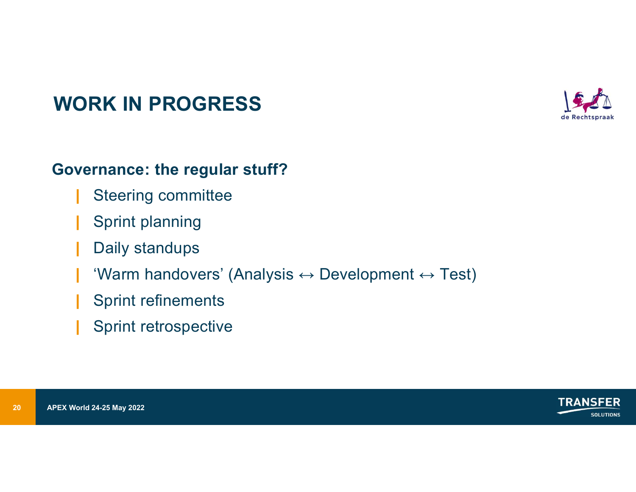

# WORK IN PROGRESS

### Governance: the regular stuff?

- | Steering committee
- | Sprint planning
- Daily standups
- Sprint planning<br>
20 APEX World 24-25 May 2022<br>
20 APEX World 24-25 May 2022<br>
20 APEX World 24-25 May 2022 'Warm handovers' (Analysis  $\leftrightarrow$  Development  $\leftrightarrow$  Test)
	- | Sprint refinements
	- Sprint retrospective

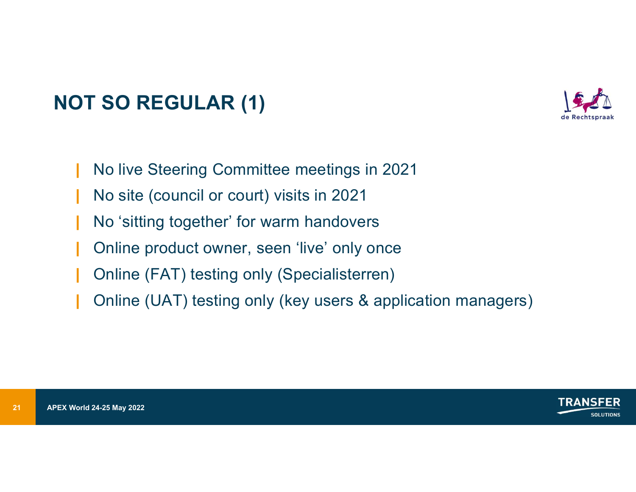# NOT SO REGULAR (1)



- | No live Steering Committee meetings in 2021
- | No site (council or court) visits in 2021
- | No 'sitting together' for warm handovers
- Online product owner, seen 'live' only once
- | Online (FAT) testing only (Specialisterren)
- No 'sitting together' for warm h<br>
1 Online product owner, seen 'live'<br>
1 Online (FAT) testing only (Spe<br>
1 Online (UAT) testing only (key<br>
21 APEX World 24-25 May 2022 | Online (UAT) testing only (key users & application managers)

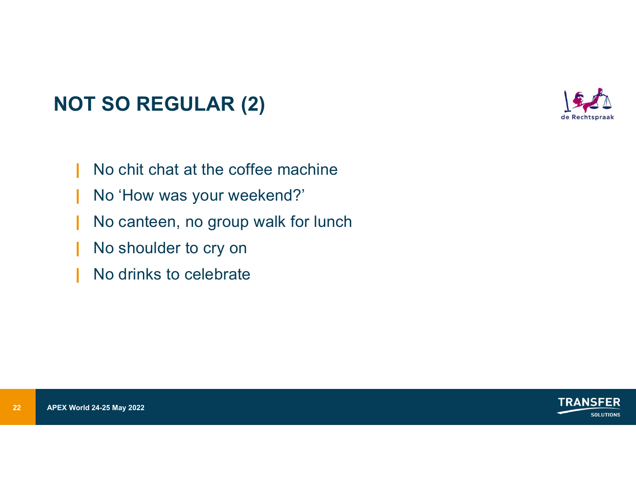### NOT SO REGULAR (2)



- | No chit chat at the coffee machine
- | No 'How was your weekend?'
- No Thow was your weekend:<br>
No canteen, no group walk for<br>
No shoulder to cry on<br>
No drinks to celebrate<br>
No drinks to celebrate<br>
APEX World 24-25 May 2022 | No canteen, no group walk for lunch
	- | No shoulder to cry on
	- No drinks to celebrate

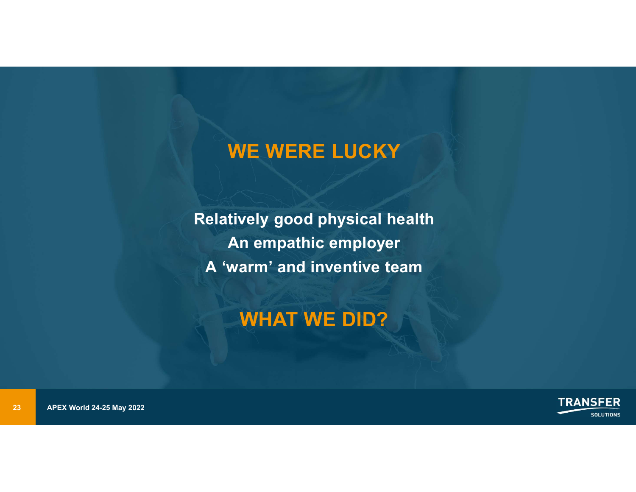### WE WERE LUCKY

Relatively good<br>
An empath<br>
A 'warm' and<br>
WHAT \ Relatively good physical health An empathic employer A 'warm' and inventive team

### WHAT WE DID?

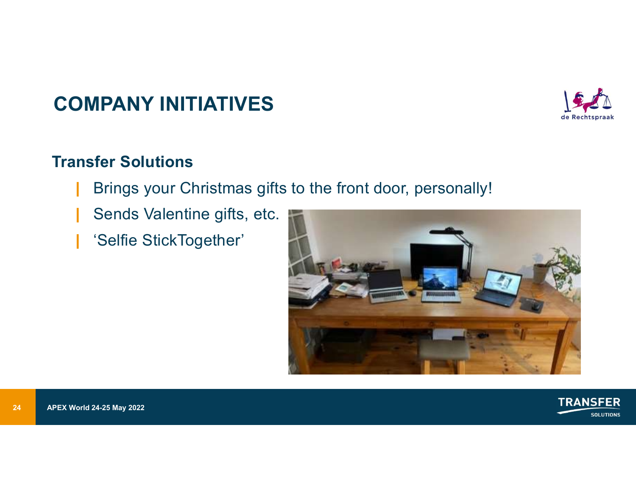### COMPANY INITIATIVES



### Transfer Solutions

- Brings your Christmas gifts to the front door, personally!
- Sends Valentine gifts, etc.
- 'Selfie StickTogether'



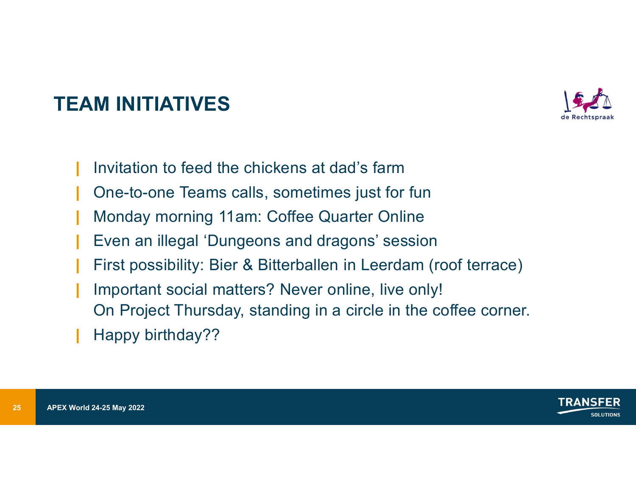### TEAM INITIATIVES



- | Invitation to feed the chickens at dad's farm
- | One-to-one Teams calls, sometimes just for fun
- | Monday morning 11am: Coffee Quarter Online
- | Even an illegal 'Dungeons and dragons' session
- | FM<br>| Invitation to feed the chickens at dad's farm<br>| One-to-one Teams calls, sometimes just for fun<br>| Monday morning 11am: Coffee Quarter Online<br>| Even an illegal 'Dungeons and dragons' session<br>| First possibility: Bier
- | Important social matters? Never online, live only!
	- On Project Thursday, standing in a circle in the coffee corner.
- Happy birthday??

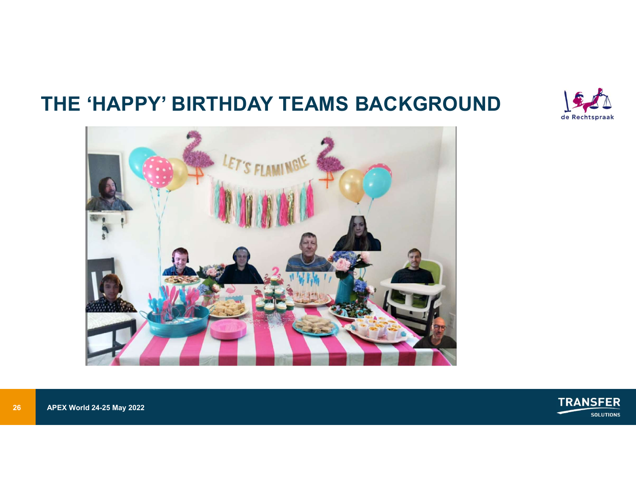### THE 'HAPPY' BIRTHDAY TEAMS BACKGROUND







26 APEX World 24-25 May 2022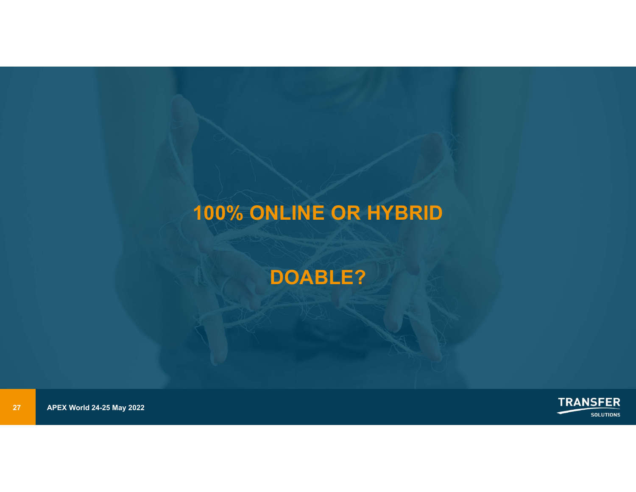### 100% ONLIN<br>DOA<br>27 APEX World 24-25 May 2022 100% ONLINE OR HYBRID

### DOABLE?

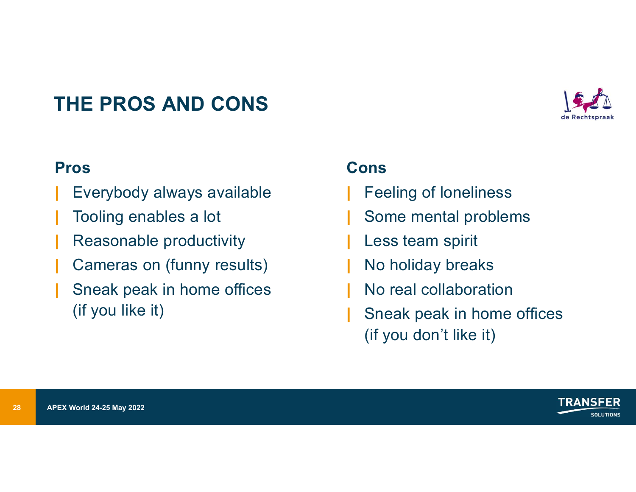### THE PROS AND CONS



### Pros

- Everybody always available
- Tooling enables a lot
- Reasonable productivity
- Cameras on (funny results)
- 28<br>
28 APEX World 24-25 May 2022<br>
28 APEX World 24-25 May 2022 | Sneak peak in home offices (if you like it)

### Cons

- **Feeling of loneliness**
- | Some mental problems
- Less team spirit
- No holiday breaks
- | No real collaboration
- Sneak peak in home offices (if you don't like it)

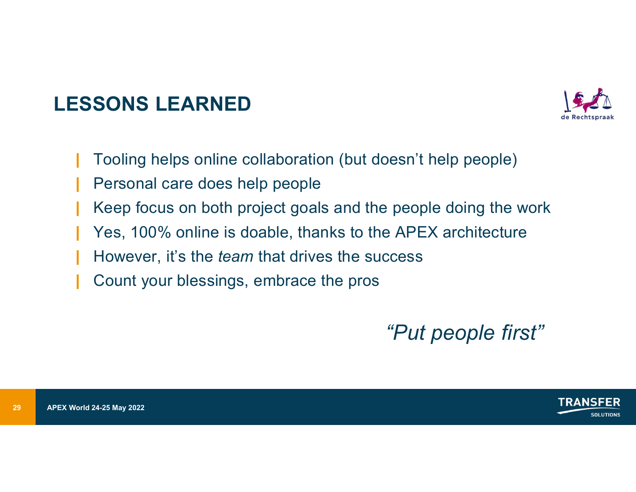# LESSONS LEARNED<br>Lessons Learned<br>Lessons de la collaboration (but doesn't



- | Tooling helps online collaboration (but doesn't help people)
- Personal care does help people
- Example 1 Apple 1 Apple 1 Apple 1 Apple 1 Apple 1 Apple 1 Apple 1 Apple 1 Apple 1 Apple 1 Apple 1 Apple 2022<br>
29 APEX World 24-25 May 2022<br>
29 APEX World 24-25 May 2022 Keep focus on both project goals and the people doing the work
	- Yes, 100% online is doable, thanks to the APEX architecture
	- However, it's the *team* that drives the success
	- | Count your blessings, embrace the pros

"Put people first"